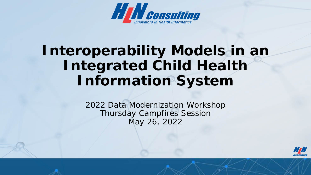

# **Interoperability Models in an Integrated Child Health Information System**

2022 Data Modernization Workshop Thursday Campfires Session May 26, 2022

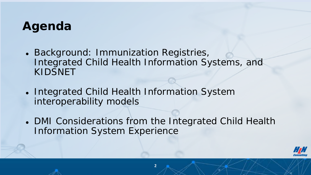### **Agenda**

- Background: Immunization Registries, Integrated Child Health Information Systems, and KIDSNET
- Integrated Child Health Information System interoperability models
- DMI Considerations from the Integrated Child Health Information System Experience

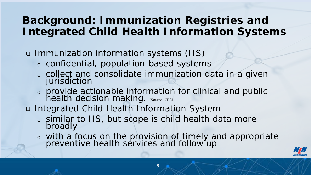#### **Background: Immunization Registries and Integrated Child Health Information Systems**

❑ Immunization information systems (IIS)

- <sup>o</sup> confidential, population-based systems
- <sup>o</sup> collect and consolidate immunization data in a given jurisdiction
- <sup>o</sup> provide actionable information for clinical and public health decision making. (Source: CDC)
- ❑ Integrated Child Health Information System
	- <sup>o</sup> similar to IIS, but scope is child health data more broadly
	- <sup>o</sup> with a focus on the provision of timely and appropriate preventive health services and follow up

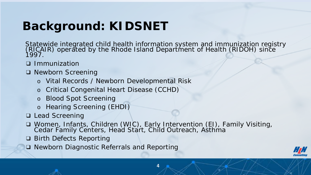## **Background: KIDSNET**

Statewide integrated child health information system and immunization registry (RICAIR) operated by the Rhode Island Department of Health (RIDOH) since 1997.

- ❑ Immunization
- ❑ Newborn Screening
	- o Vital Records / Newborn Developmental Risk
	- o Critical Congenital Heart Disease (CCHD)
	- o Blood Spot Screening
	- o Hearing Screening (EHDI)
- ❑ Lead Screening
- ❑ Women, Infants, Children (WIC), Early Intervention (EI), Family Visiting, Cedar Family Centers, Head Start, Child Outreach, Asthma
- ❑ Birth Defects Reporting
- ❑ Newborn Diagnostic Referrals and Reporting

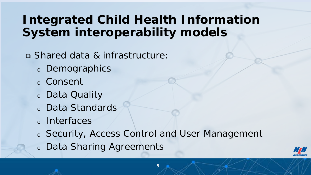### **Integrated Child Health Information System interoperability models**

❑ Shared data & infrastructure:

- <sup>o</sup> Demographics
- <sup>o</sup> Consent
- <sup>o</sup> Data Quality
- <sup>o</sup> Data Standards
- <sup>o</sup> Interfaces
- <sup>o</sup> Security, Access Control and User Management
- <sup>o</sup> Data Sharing Agreements

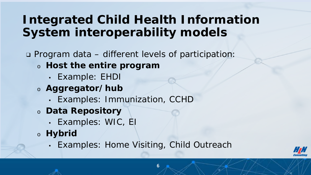### **Integrated Child Health Information System interoperability models**

- ❑ Program data different levels of participation:
	- <sup>o</sup> **Host the entire program**
		- *Example: EHDI*
	- <sup>o</sup> **Aggregator/hub**
		- *Examples: Immunization, CCHD*
	- <sup>o</sup> **Data Repository**
		- *Examples: WIC, EI*
	- <sup>o</sup> **Hybrid**
		- *Examples: Home Visiting, Child Outreach*

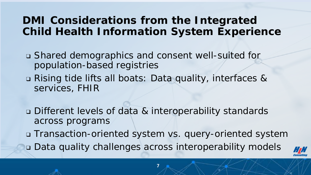#### **DMI Considerations from the Integrated Child Health Information System Experience**

- ❑ Shared demographics and consent well-suited for population-based registries
- ❑ Rising tide lifts all boats: Data quality, interfaces & services, FHIR
- ❑ Different levels of data & interoperability standards across programs
- ❑ Transaction-oriented system vs. query-oriented system
- ❑ Data quality challenges across interoperability models